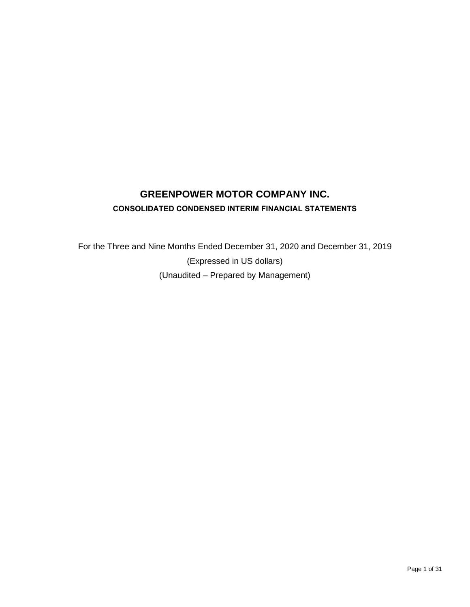# **GREENPOWER MOTOR COMPANY INC. CONSOLIDATED CONDENSED INTERIM FINANCIAL STATEMENTS**

For the Three and Nine Months Ended December 31, 2020 and December 31, 2019 (Expressed in US dollars) (Unaudited – Prepared by Management)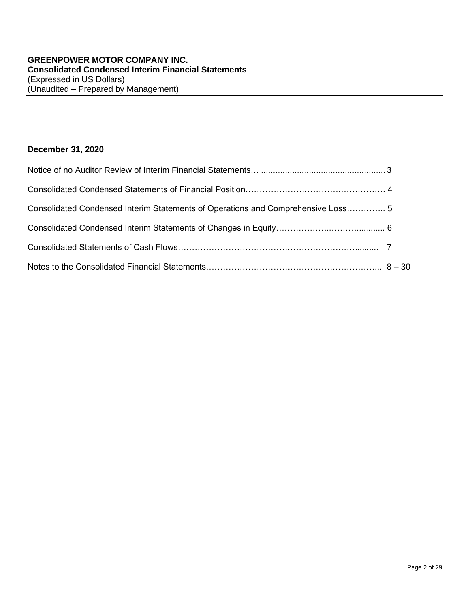## **December 31, 2020**

| Consolidated Condensed Interim Statements of Operations and Comprehensive Loss 5 |  |
|----------------------------------------------------------------------------------|--|
|                                                                                  |  |
|                                                                                  |  |
|                                                                                  |  |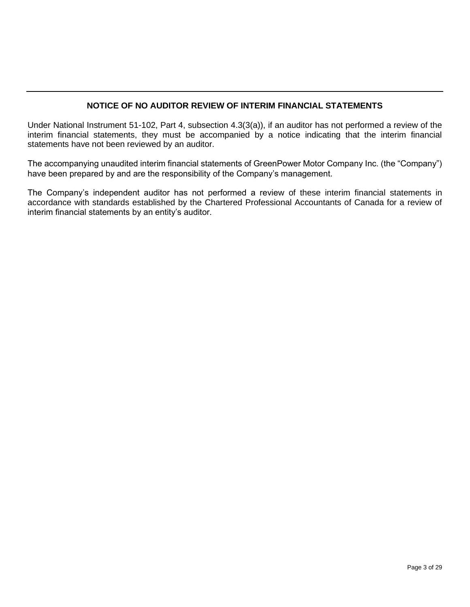## **NOTICE OF NO AUDITOR REVIEW OF INTERIM FINANCIAL STATEMENTS**

Under National Instrument 51-102, Part 4, subsection 4.3(3(a)), if an auditor has not performed a review of the interim financial statements, they must be accompanied by a notice indicating that the interim financial statements have not been reviewed by an auditor.

The accompanying unaudited interim financial statements of GreenPower Motor Company Inc. (the "Company") have been prepared by and are the responsibility of the Company's management.

The Company's independent auditor has not performed a review of these interim financial statements in accordance with standards established by the Chartered Professional Accountants of Canada for a review of interim financial statements by an entity's auditor.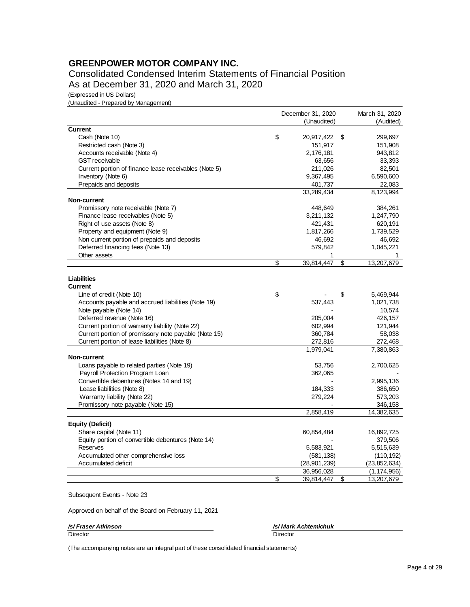## **GREENPOWER MOTOR COMPANY INC.**

Consolidated Condensed Interim Statements of Financial Position As at December 31, 2020 and March 31, 2020

(Expressed in US Dollars)

(Unaudited - Prepared by Management)

|                                                       | December 31, 2020 |                | March 31, 2020   |
|-------------------------------------------------------|-------------------|----------------|------------------|
|                                                       |                   | (Unaudited)    | (Audited)        |
| <b>Current</b>                                        |                   |                |                  |
| Cash (Note 10)                                        | \$                | 20,917,422     | \$<br>299,697    |
| Restricted cash (Note 3)                              |                   | 151,917        | 151,908          |
| Accounts receivable (Note 4)                          |                   | 2,176,181      | 943,812          |
| <b>GST</b> receivable                                 |                   | 63,656         | 33,393           |
| Current portion of finance lease receivables (Note 5) |                   | 211,026        | 82,501           |
| Inventory (Note 6)                                    |                   | 9,367,495      | 6,590,600        |
| Prepaids and deposits                                 |                   | 401,737        | 22,083           |
|                                                       |                   | 33,289,434     | 8,123,994        |
| Non-current                                           |                   |                |                  |
| Promissory note receivable (Note 7)                   |                   | 448,649        | 384,261          |
| Finance lease receivables (Note 5)                    |                   | 3,211,132      | 1,247,790        |
| Right of use assets (Note 8)                          |                   | 421,431        | 620,191          |
| Property and equipment (Note 9)                       |                   | 1,817,266      | 1,739,529        |
| Non current portion of prepaids and deposits          |                   | 46,692         | 46,692           |
| Deferred financing fees (Note 13)                     |                   | 579,842        | 1,045,221        |
| Other assets                                          |                   | 1              |                  |
|                                                       | \$                | 39,814,447     | \$<br>13,207,679 |
|                                                       |                   |                |                  |
| <b>Liabilities</b>                                    |                   |                |                  |
| <b>Current</b>                                        |                   |                |                  |
| Line of credit (Note 10)                              | \$                |                | \$<br>5,469,944  |
| Accounts payable and accrued liabilities (Note 19)    |                   | 537,443        | 1,021,738        |
| Note payable (Note 14)                                |                   |                | 10,574           |
| Deferred revenue (Note 16)                            |                   | 205,004        | 426,157          |
| Current portion of warranty liability (Note 22)       |                   | 602,994        | 121,944          |
| Current portion of promissory note payable (Note 15)  |                   | 360,784        | 58,038           |
| Current portion of lease liabilities (Note 8)         |                   | 272,816        | 272,468          |
| Non-current                                           |                   | 1,979,041      | 7,380,863        |
| Loans payable to related parties (Note 19)            |                   | 53,756         | 2,700,625        |
| Payroll Protection Program Loan                       |                   | 362,065        |                  |
| Convertible debentures (Notes 14 and 19)              |                   |                | 2,995,136        |
| Lease liabilities (Note 8)                            |                   | 184,333        | 386,650          |
| Warranty liability (Note 22)                          |                   | 279,224        | 573,203          |
| Promissory note payable (Note 15)                     |                   |                | 346,158          |
|                                                       |                   | 2,858,419      | 14,382,635       |
|                                                       |                   |                |                  |
| <b>Equity (Deficit)</b>                               |                   |                |                  |
| Share capital (Note 11)                               |                   | 60,854,484     | 16,892,725       |
| Equity portion of convertible debentures (Note 14)    |                   |                | 379,506          |
| Reserves                                              |                   | 5,583,921      | 5,515,639        |
| Accumulated other comprehensive loss                  |                   | (581, 138)     | (110, 192)       |
| Accumulated deficit                                   |                   | (28, 901, 239) | (23, 852, 634)   |
|                                                       |                   | 36,956,028     | (1, 174, 956)    |
|                                                       | \$                | 39,814,447     | \$<br>13,207,679 |

Subsequent Events - Note 23

Approved on behalf of the Board on February 11, 2021

*/s/ Fraser Atkinson /s/ Mark Achtemichuk*

Director Director

(The accompanying notes are an integral part of these consolidated financial statements)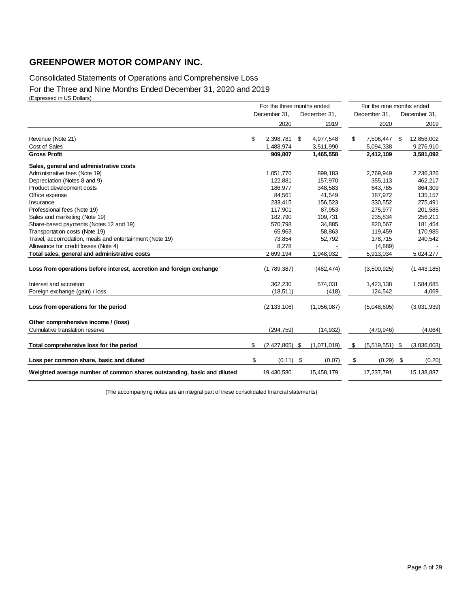## **GREENPOWER MOTOR COMPANY INC.**

## Consolidated Statements of Operations and Comprehensive Loss For the Three and Nine Months Ended December 31, 2020 and 2019 (Expressed in US Dollars)

|                                                                         | For the three months ended |                  |     |              |    | For the nine months ended |              |             |  |
|-------------------------------------------------------------------------|----------------------------|------------------|-----|--------------|----|---------------------------|--------------|-------------|--|
|                                                                         |                            | December 31,     |     | December 31, |    | December 31,              | December 31, |             |  |
|                                                                         |                            | 2020             |     | 2019         |    | 2020                      |              | 2019        |  |
| Revenue (Note 21)                                                       | \$                         | 2,398,781        | \$  | 4,977,548    | \$ | 7,506,447                 | \$           | 12,858,002  |  |
| Cost of Sales                                                           |                            | 1,488,974        |     | 3,511,990    |    | 5,094,338                 |              | 9,276,910   |  |
| <b>Gross Profit</b>                                                     |                            | 909,807          |     | 1,465,558    |    | 2,412,109                 |              | 3,581,092   |  |
| Sales, general and administrative costs                                 |                            |                  |     |              |    |                           |              |             |  |
| Administrative fees (Note 19)                                           |                            | 1,051,776        |     | 899,183      |    | 2,769,949                 |              | 2,236,326   |  |
| Depreciation (Notes 8 and 9)                                            |                            | 122,881          |     | 157,970      |    | 355,113                   |              | 462,217     |  |
| Product development costs                                               |                            | 186.977          |     | 348.583      |    | 643.785                   |              | 864,309     |  |
| Office expense                                                          |                            | 84,561           |     | 41,549       |    | 187,972                   |              | 135,157     |  |
| Insurance                                                               |                            | 233,415          |     | 156,523      |    | 330,552                   |              | 275,491     |  |
| Professional fees (Note 19)                                             |                            | 117,901          |     | 87,953       |    | 275,977                   |              | 201,585     |  |
| Sales and marketing (Note 19)                                           |                            | 182,790          |     | 109,731      |    | 235,834                   |              | 256,211     |  |
| Share-based payments (Notes 12 and 19)                                  |                            | 570,798          |     | 34,885       |    | 820,567                   |              | 181,454     |  |
| Transportation costs (Note 19)                                          |                            | 65,963           |     | 58,863       |    | 119,459                   |              | 170,985     |  |
| Travel, accomodation, meals and entertainment (Note 19)                 |                            | 73,854           |     | 52,792       |    | 178,715                   |              | 240,542     |  |
| Allowance for credit losses (Note 4)                                    |                            | 8.278            |     |              |    | (4,889)                   |              |             |  |
| Total sales, general and administrative costs                           |                            | 2,699,194        |     | 1,948,032    |    | 5,913,034                 |              | 5,024,277   |  |
| Loss from operations before interest, accretion and foreign exchange    |                            | (1,789,387)      |     | (482, 474)   |    | (3,500,925)               |              | (1,443,185) |  |
| Interest and accretion                                                  |                            | 362,230          |     | 574,031      |    | 1,423,138                 |              | 1,584,685   |  |
| Foreign exchange (gain) / loss                                          |                            | (18, 511)        |     | (418)        |    | 124,542                   |              | 4,069       |  |
| Loss from operations for the period                                     |                            | (2, 133, 106)    |     | (1,056,087)  |    | (5,048,605)               |              | (3,031,939) |  |
| Other comprehensive income / (loss)                                     |                            |                  |     |              |    |                           |              |             |  |
| Cumulative translation reserve                                          |                            | (294, 759)       |     | (14, 932)    |    | (470, 946)                |              | (4,064)     |  |
| Total comprehensive loss for the period                                 | \$                         | $(2,427,865)$ \$ |     | (1,071,019)  | \$ | $(5,519,551)$ \$          |              | (3,036,003) |  |
| Loss per common share, basic and diluted                                | \$                         | (0.11)           | -\$ | (0.07)       | \$ | (0.29)                    | \$           | (0.20)      |  |
| Weighted average number of common shares outstanding, basic and diluted |                            | 19,430,580       |     | 15,458,179   |    | 17,237,791                |              | 15,138,887  |  |

(The accompanying notes are an integral part of these consolidated financial statements)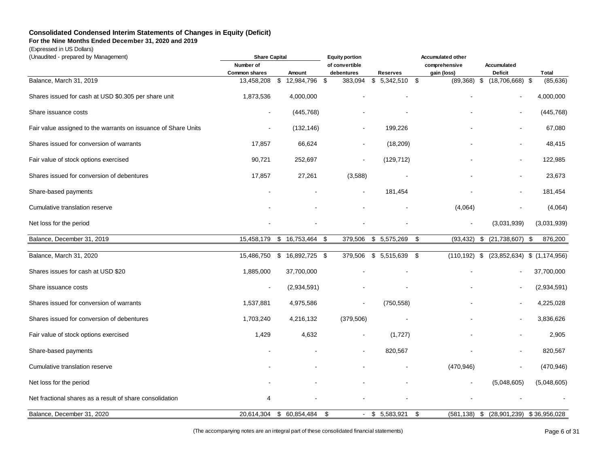## **Consolidated Condensed Interim Statements of Changes in Equity (Deficit)**

**For the Nine Months Ended December 31, 2020 and 2019**

(Expressed in US Dollars)

| (Unaudited - prepared by Management)                           | <b>Share Capital</b> |                     |                |                   | <b>Accumulated other</b> |                          |                                 |  |
|----------------------------------------------------------------|----------------------|---------------------|----------------|-------------------|--------------------------|--------------------------|---------------------------------|--|
|                                                                | Number of            |                     | of convertible |                   | comprehensive            | Accumulated              |                                 |  |
|                                                                | <b>Common shares</b> | Amount              | debentures     | <b>Reserves</b>   | gain (loss)              | <b>Deficit</b>           | Total                           |  |
| Balance, March 31, 2019                                        | 13,458,208           | 12,984,796<br>\$    | 383,094<br>-\$ | 5,342,510<br>\$   | -\$<br>(89, 368)         | $(18,706,668)$ \$<br>-\$ | (85, 636)                       |  |
| Shares issued for cash at USD \$0.305 per share unit           | 1,873,536            | 4,000,000           |                |                   |                          | $\sim$                   | 4,000,000                       |  |
| Share issuance costs                                           |                      | (445, 768)          |                |                   |                          |                          | (445, 768)                      |  |
| Fair value assigned to the warrants on issuance of Share Units |                      | (132, 146)          |                | 199,226           |                          |                          | 67,080                          |  |
| Shares issued for conversion of warrants                       | 17,857               | 66,624              | $\blacksquare$ | (18, 209)         |                          | $\blacksquare$           | 48,415                          |  |
| Fair value of stock options exercised                          | 90,721               | 252,697             |                | (129, 712)        |                          | $\blacksquare$           | 122,985                         |  |
| Shares issued for conversion of debentures                     | 17,857               | 27,261              | (3,588)        |                   |                          | $\blacksquare$           | 23,673                          |  |
| Share-based payments                                           |                      |                     |                | 181,454           |                          |                          | 181,454                         |  |
| Cumulative translation reserve                                 |                      |                     |                |                   | (4,064)                  |                          | (4,064)                         |  |
| Net loss for the period                                        |                      |                     |                |                   |                          | (3,031,939)              | (3,031,939)                     |  |
| Balance, December 31, 2019                                     | 15,458,179           | 16,753,464<br>\$    | 379,506<br>\$  | 5,575,269<br>\$   | (93, 432)<br>\$          | \$<br>(21, 738, 607)     | 876,200<br>\$                   |  |
|                                                                |                      |                     |                |                   |                          |                          |                                 |  |
| Balance, March 31, 2020                                        | 15,486,750           | 16,892,725 \$<br>\$ | 379,506        | $$5,515,639$ \$   | (110, 192)               | \$                       | $(23,852,634)$ \$ $(1,174,956)$ |  |
| Shares issues for cash at USD \$20                             | 1,885,000            | 37,700,000          |                |                   |                          |                          | 37,700,000                      |  |
| Share issuance costs                                           | $\blacksquare$       | (2,934,591)         |                |                   |                          |                          | (2,934,591)                     |  |
| Shares issued for conversion of warrants                       | 1,537,881            | 4,975,586           |                | (750, 558)        |                          | L,                       | 4,225,028                       |  |
| Shares issued for conversion of debentures                     | 1,703,240            | 4,216,132           | (379, 506)     |                   |                          | $\blacksquare$           | 3,836,626                       |  |
| Fair value of stock options exercised                          | 1,429                | 4,632               |                | (1,727)           |                          | $\ddot{\phantom{a}}$     | 2,905                           |  |
| Share-based payments                                           |                      |                     |                | 820,567           |                          | $\ddot{\phantom{a}}$     | 820,567                         |  |
| Cumulative translation reserve                                 |                      |                     |                |                   | (470, 946)               | $\overline{\phantom{a}}$ | (470, 946)                      |  |
| Net loss for the period                                        |                      |                     |                |                   |                          | (5,048,605)              | (5,048,605)                     |  |
| Net fractional shares as a result of share consolidation       | $\overline{4}$       |                     |                |                   |                          |                          |                                 |  |
| Balance, December 31, 2020                                     | 20,614,304           | \$<br>60,854,484    | \$             | - \$<br>5,583,921 | \$<br>(581, 138)         | (28, 901, 239)<br>\$     | \$36,956,028                    |  |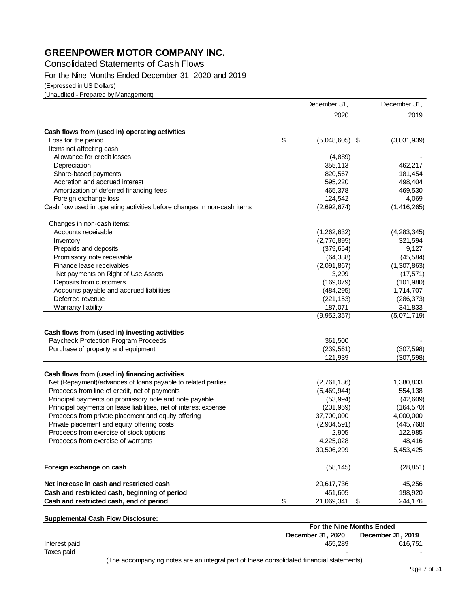## **GREENPOWER MOTOR COMPANY INC.**

Consolidated Statements of Cash Flows

For the Nine Months Ended December 31, 2020 and 2019

(Expressed in US Dollars)

(Unaudited - Prepared by Management)

|                                                                         | December 31,           | December 31,  |
|-------------------------------------------------------------------------|------------------------|---------------|
|                                                                         | 2020                   | 2019          |
| Cash flows from (used in) operating activities                          |                        |               |
| Loss for the period                                                     | \$<br>$(5,048,605)$ \$ | (3,031,939)   |
| Items not affecting cash                                                |                        |               |
| Allowance for credit losses                                             | (4,889)                |               |
| Depreciation                                                            | 355,113                | 462,217       |
| Share-based payments                                                    | 820,567                | 181,454       |
| Accretion and accrued interest                                          | 595,220                | 498,404       |
| Amortization of deferred financing fees                                 | 465,378                | 469,530       |
|                                                                         | 124,542                | 4,069         |
| Foreign exchange loss                                                   | (2,692,674)            | (1, 416, 265) |
| Cash flow used in operating activities before changes in non-cash items |                        |               |
| Changes in non-cash items:                                              |                        |               |
| Accounts receivable                                                     | (1,262,632)            | (4,283,345)   |
| Inventory                                                               | (2,776,895)            | 321,594       |
| Prepaids and deposits                                                   | (379, 654)             | 9,127         |
| Promissory note receivable                                              | (64, 388)              | (45, 584)     |
| Finance lease receivables                                               | (2,091,867)            | (1,307,863)   |
| Net payments on Right of Use Assets                                     | 3,209                  | (17, 571)     |
| Deposits from customers                                                 | (169,079)              | (101, 980)    |
| Accounts payable and accrued liabilities                                | (484, 295)             | 1,714,707     |
| Deferred revenue                                                        | (221, 153)             | (286, 373)    |
| Warranty liability                                                      | 187,071                | 341,833       |
|                                                                         | (9,952,357)            | (5,071,719)   |
|                                                                         |                        |               |
| Cash flows from (used in) investing activities                          |                        |               |
| Paycheck Protection Program Proceeds                                    | 361,500                |               |
| Purchase of property and equipment                                      | (239, 561)             | (307, 598)    |
|                                                                         | 121,939                | (307, 598)    |
| Cash flows from (used in) financing activities                          |                        |               |
| Net (Repayment)/advances of loans payable to related parties            | (2,761,136)            | 1,380,833     |
| Proceeds from line of credit, net of payments                           | (5,469,944)            | 554,138       |
| Principal payments on promissory note and note payable                  | (53,994)               | (42, 609)     |
| Principal payments on lease liabilities, net of interest expense        | (201, 969)             | (164, 570)    |
| Proceeds from private placement and equity offering                     | 37,700,000             | 4,000,000     |
| Private placement and equity offering costs                             | (2,934,591)            | (445, 768)    |
| Proceeds from exercise of stock options                                 | 2,905                  | 122,985       |
| Proceeds from exercise of warrants                                      | 4,225,028              | 48,416        |
|                                                                         | 30,506,299             | 5,453,425     |
| Foreign exchange on cash                                                | (58, 145)              | (28, 851)     |
| Net increase in cash and restricted cash                                |                        |               |
|                                                                         | 20,617,736             | 45,256        |
| Cash and restricted cash, beginning of period                           | 451,605                | 198,920       |
| Cash and restricted cash, end of period                                 | \$<br>21,069,341       | \$<br>244,176 |

## **Supplemental Cash Flow Disclosure:**

|               |  |  |   | For the Nine Months Ended                                                                                                                                                                                                        |                   |         |  |
|---------------|--|--|---|----------------------------------------------------------------------------------------------------------------------------------------------------------------------------------------------------------------------------------|-------------------|---------|--|
|               |  |  |   | December 31, 2020                                                                                                                                                                                                                | December 31, 2019 |         |  |
| Interest paid |  |  |   | 455.289                                                                                                                                                                                                                          |                   | 616.751 |  |
| Taxes paid    |  |  |   |                                                                                                                                                                                                                                  |                   |         |  |
|               |  |  | . | $\mathbf{a}$ , and the set of the set of the set of the set of the set of the set of the set of the set of the set of the set of the set of the set of the set of the set of the set of the set of the set of the set of the set |                   |         |  |

(The accompanying notes are an integral part of these consolidated financial statements)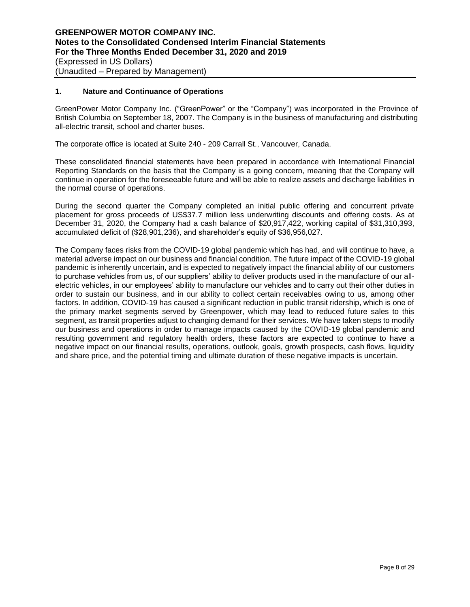## **1. Nature and Continuance of Operations**

GreenPower Motor Company Inc. ("GreenPower" or the "Company") was incorporated in the Province of British Columbia on September 18, 2007. The Company is in the business of manufacturing and distributing all-electric transit, school and charter buses.

The corporate office is located at Suite 240 - 209 Carrall St., Vancouver, Canada.

These consolidated financial statements have been prepared in accordance with International Financial Reporting Standards on the basis that the Company is a going concern, meaning that the Company will continue in operation for the foreseeable future and will be able to realize assets and discharge liabilities in the normal course of operations.

During the second quarter the Company completed an initial public offering and concurrent private placement for gross proceeds of US\$37.7 million less underwriting discounts and offering costs. As at December 31, 2020, the Company had a cash balance of \$20,917,422, working capital of \$31,310,393, accumulated deficit of (\$28,901,236), and shareholder's equity of \$36,956,027.

The Company faces risks from the COVID-19 global pandemic which has had, and will continue to have, a material adverse impact on our business and financial condition. The future impact of the COVID-19 global pandemic is inherently uncertain, and is expected to negatively impact the financial ability of our customers to purchase vehicles from us, of our suppliers' ability to deliver products used in the manufacture of our allelectric vehicles, in our employees' ability to manufacture our vehicles and to carry out their other duties in order to sustain our business, and in our ability to collect certain receivables owing to us, among other factors. In addition, COVID-19 has caused a significant reduction in public transit ridership, which is one of the primary market segments served by Greenpower, which may lead to reduced future sales to this segment, as transit properties adjust to changing demand for their services. We have taken steps to modify our business and operations in order to manage impacts caused by the COVID-19 global pandemic and resulting government and regulatory health orders, these factors are expected to continue to have a negative impact on our financial results, operations, outlook, goals, growth prospects, cash flows, liquidity and share price, and the potential timing and ultimate duration of these negative impacts is uncertain.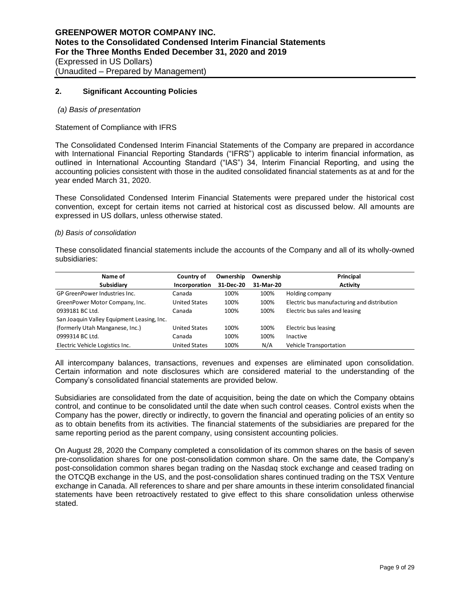## **2. Significant Accounting Policies**

#### *(a) Basis of presentation*

#### Statement of Compliance with IFRS

The Consolidated Condensed Interim Financial Statements of the Company are prepared in accordance with International Financial Reporting Standards ("IFRS") applicable to interim financial information, as outlined in International Accounting Standard ("IAS") 34, Interim Financial Reporting, and using the accounting policies consistent with those in the audited consolidated financial statements as at and for the year ended March 31, 2020.

These Consolidated Condensed Interim Financial Statements were prepared under the historical cost convention, except for certain items not carried at historical cost as discussed below. All amounts are expressed in US dollars, unless otherwise stated.

#### *(b) Basis of consolidation*

These consolidated financial statements include the accounts of the Company and all of its wholly-owned subsidiaries:

| Name of                                    | Country of           | Ownership | Ownership | Principal                                   |
|--------------------------------------------|----------------------|-----------|-----------|---------------------------------------------|
| Subsidiary                                 | Incorporation        | 31-Dec-20 | 31-Mar-20 | <b>Activity</b>                             |
| GP GreenPower Industries Inc.              | Canada               | 100%      | 100%      | Holding company                             |
| GreenPower Motor Company, Inc.             | <b>United States</b> | 100%      | 100%      | Electric bus manufacturing and distribution |
| 0939181 BC Ltd.                            | Canada               | 100%      | 100%      | Electric bus sales and leasing              |
| San Joaquin Valley Equipment Leasing, Inc. |                      |           |           |                                             |
| (formerly Utah Manganese, Inc.)            | <b>United States</b> | 100%      | 100%      | Electric bus leasing                        |
| 0999314 BC Ltd.                            | Canada               | 100%      | 100%      | Inactive                                    |
| Electric Vehicle Logistics Inc.            | <b>United States</b> | 100%      | N/A       | Vehicle Transportation                      |

All intercompany balances, transactions, revenues and expenses are eliminated upon consolidation. Certain information and note disclosures which are considered material to the understanding of the Company's consolidated financial statements are provided below.

Subsidiaries are consolidated from the date of acquisition, being the date on which the Company obtains control, and continue to be consolidated until the date when such control ceases. Control exists when the Company has the power, directly or indirectly, to govern the financial and operating policies of an entity so as to obtain benefits from its activities. The financial statements of the subsidiaries are prepared for the same reporting period as the parent company, using consistent accounting policies.

On August 28, 2020 the Company completed a consolidation of its common shares on the basis of seven pre-consolidation shares for one post-consolidation common share. On the same date, the Company's post-consolidation common shares began trading on the Nasdaq stock exchange and ceased trading on the OTCQB exchange in the US, and the post-consolidation shares continued trading on the TSX Venture exchange in Canada. All references to share and per share amounts in these interim consolidated financial statements have been retroactively restated to give effect to this share consolidation unless otherwise stated.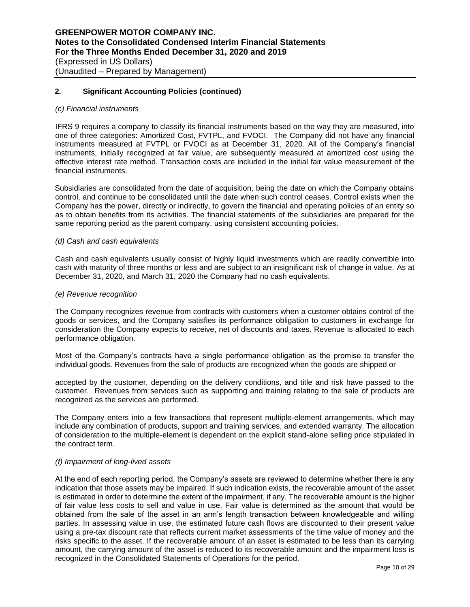#### *(c) Financial instruments*

IFRS 9 requires a company to classify its financial instruments based on the way they are measured, into one of three categories: Amortized Cost, FVTPL, and FVOCI. The Company did not have any financial instruments measured at FVTPL or FVOCI as at December 31, 2020. All of the Company's financial instruments, initially recognized at fair value, are subsequently measured at amortized cost using the effective interest rate method. Transaction costs are included in the initial fair value measurement of the financial instruments.

Subsidiaries are consolidated from the date of acquisition, being the date on which the Company obtains control, and continue to be consolidated until the date when such control ceases. Control exists when the Company has the power, directly or indirectly, to govern the financial and operating policies of an entity so as to obtain benefits from its activities. The financial statements of the subsidiaries are prepared for the same reporting period as the parent company, using consistent accounting policies.

#### *(d) Cash and cash equivalents*

Cash and cash equivalents usually consist of highly liquid investments which are readily convertible into cash with maturity of three months or less and are subject to an insignificant risk of change in value. As at December 31, 2020, and March 31, 2020 the Company had no cash equivalents.

#### *(e) Revenue recognition*

The Company recognizes revenue from contracts with customers when a customer obtains control of the goods or services, and the Company satisfies its performance obligation to customers in exchange for consideration the Company expects to receive, net of discounts and taxes. Revenue is allocated to each performance obligation.

Most of the Company's contracts have a single performance obligation as the promise to transfer the individual goods. Revenues from the sale of products are recognized when the goods are shipped or

accepted by the customer, depending on the delivery conditions, and title and risk have passed to the customer. Revenues from services such as supporting and training relating to the sale of products are recognized as the services are performed.

The Company enters into a few transactions that represent multiple-element arrangements, which may include any combination of products, support and training services, and extended warranty. The allocation of consideration to the multiple-element is dependent on the explicit stand-alone selling price stipulated in the contract term.

## *(f) Impairment of long-lived assets*

At the end of each reporting period, the Company's assets are reviewed to determine whether there is any indication that those assets may be impaired. If such indication exists, the recoverable amount of the asset is estimated in order to determine the extent of the impairment, if any. The recoverable amount is the higher of fair value less costs to sell and value in use. Fair value is determined as the amount that would be obtained from the sale of the asset in an arm's length transaction between knowledgeable and willing parties. In assessing value in use, the estimated future cash flows are discounted to their present value using a pre-tax discount rate that reflects current market assessments of the time value of money and the risks specific to the asset. If the recoverable amount of an asset is estimated to be less than its carrying amount, the carrying amount of the asset is reduced to its recoverable amount and the impairment loss is recognized in the Consolidated Statements of Operations for the period.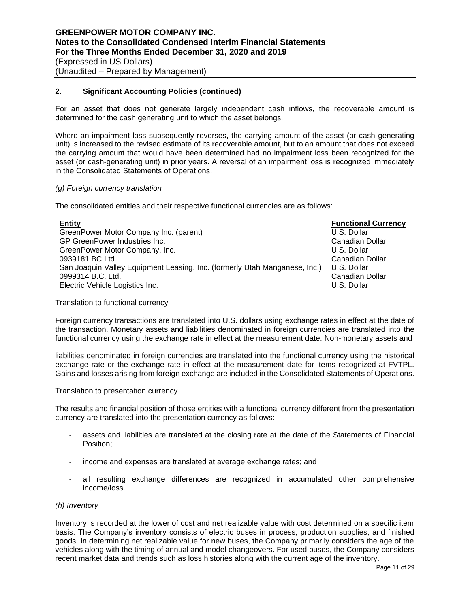For an asset that does not generate largely independent cash inflows, the recoverable amount is determined for the cash generating unit to which the asset belongs.

Where an impairment loss subsequently reverses, the carrying amount of the asset (or cash-generating unit) is increased to the revised estimate of its recoverable amount, but to an amount that does not exceed the carrying amount that would have been determined had no impairment loss been recognized for the asset (or cash-generating unit) in prior years. A reversal of an impairment loss is recognized immediately in the Consolidated Statements of Operations.

## *(g) Foreign currency translation*

The consolidated entities and their respective functional currencies are as follows:

| <b>Entity</b>                                                              | <b>Functional Currency</b> |
|----------------------------------------------------------------------------|----------------------------|
| GreenPower Motor Company Inc. (parent)                                     | U.S. Dollar                |
| GP GreenPower Industries Inc.                                              | Canadian Dollar            |
| GreenPower Motor Company, Inc.                                             | U.S. Dollar                |
| 0939181 BC Ltd.                                                            | Canadian Dollar            |
| San Joaquin Valley Equipment Leasing, Inc. (formerly Utah Manganese, Inc.) | U.S. Dollar                |
| 0999314 B.C. Ltd.                                                          | Canadian Dollar            |
| Electric Vehicle Logistics Inc.                                            | U.S. Dollar                |

Translation to functional currency

Foreign currency transactions are translated into U.S. dollars using exchange rates in effect at the date of the transaction. Monetary assets and liabilities denominated in foreign currencies are translated into the functional currency using the exchange rate in effect at the measurement date. Non-monetary assets and

liabilities denominated in foreign currencies are translated into the functional currency using the historical exchange rate or the exchange rate in effect at the measurement date for items recognized at FVTPL. Gains and losses arising from foreign exchange are included in the Consolidated Statements of Operations.

#### Translation to presentation currency

The results and financial position of those entities with a functional currency different from the presentation currency are translated into the presentation currency as follows:

- assets and liabilities are translated at the closing rate at the date of the Statements of Financial Position;
- income and expenses are translated at average exchange rates; and
- all resulting exchange differences are recognized in accumulated other comprehensive income/loss.

## *(h) Inventory*

Inventory is recorded at the lower of cost and net realizable value with cost determined on a specific item basis. The Company's inventory consists of electric buses in process, production supplies, and finished goods. In determining net realizable value for new buses, the Company primarily considers the age of the vehicles along with the timing of annual and model changeovers. For used buses, the Company considers recent market data and trends such as loss histories along with the current age of the inventory.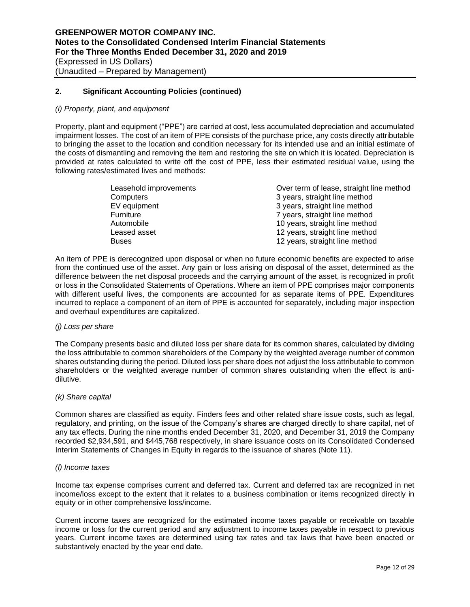#### *(i) Property, plant, and equipment*

Property, plant and equipment ("PPE") are carried at cost, less accumulated depreciation and accumulated impairment losses. The cost of an item of PPE consists of the purchase price, any costs directly attributable to bringing the asset to the location and condition necessary for its intended use and an initial estimate of the costs of dismantling and removing the item and restoring the site on which it is located. Depreciation is provided at rates calculated to write off the cost of PPE, less their estimated residual value, using the following rates/estimated lives and methods:

| Leasehold improvements | Over term of lease, straight line method |
|------------------------|------------------------------------------|
| Computers              | 3 years, straight line method            |
| EV equipment           | 3 years, straight line method            |
| Furniture              | 7 years, straight line method            |
| Automobile             | 10 years, straight line method           |
| Leased asset           | 12 years, straight line method           |
| Buses                  | 12 years, straight line method           |

An item of PPE is derecognized upon disposal or when no future economic benefits are expected to arise from the continued use of the asset. Any gain or loss arising on disposal of the asset, determined as the difference between the net disposal proceeds and the carrying amount of the asset, is recognized in profit or loss in the Consolidated Statements of Operations. Where an item of PPE comprises major components with different useful lives, the components are accounted for as separate items of PPE. Expenditures incurred to replace a component of an item of PPE is accounted for separately, including major inspection and overhaul expenditures are capitalized.

#### *(j) Loss per share*

The Company presents basic and diluted loss per share data for its common shares, calculated by dividing the loss attributable to common shareholders of the Company by the weighted average number of common shares outstanding during the period. Diluted loss per share does not adjust the loss attributable to common shareholders or the weighted average number of common shares outstanding when the effect is antidilutive.

## *(k) Share capital*

Common shares are classified as equity. Finders fees and other related share issue costs, such as legal, regulatory, and printing, on the issue of the Company's shares are charged directly to share capital, net of any tax effects. During the nine months ended December 31, 2020, and December 31, 2019 the Company recorded \$2,934,591, and \$445,768 respectively, in share issuance costs on its Consolidated Condensed Interim Statements of Changes in Equity in regards to the issuance of shares (Note 11).

#### *(l) Income taxes*

Income tax expense comprises current and deferred tax. Current and deferred tax are recognized in net income/loss except to the extent that it relates to a business combination or items recognized directly in equity or in other comprehensive loss/income.

Current income taxes are recognized for the estimated income taxes payable or receivable on taxable income or loss for the current period and any adjustment to income taxes payable in respect to previous years. Current income taxes are determined using tax rates and tax laws that have been enacted or substantively enacted by the year end date.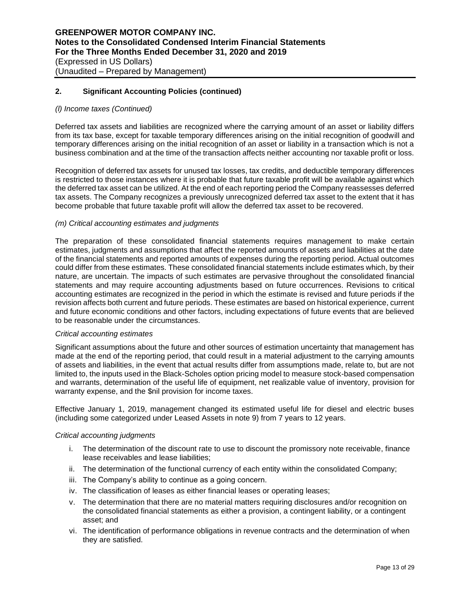#### *(l) Income taxes (Continued)*

Deferred tax assets and liabilities are recognized where the carrying amount of an asset or liability differs from its tax base, except for taxable temporary differences arising on the initial recognition of goodwill and temporary differences arising on the initial recognition of an asset or liability in a transaction which is not a business combination and at the time of the transaction affects neither accounting nor taxable profit or loss.

Recognition of deferred tax assets for unused tax losses, tax credits, and deductible temporary differences is restricted to those instances where it is probable that future taxable profit will be available against which the deferred tax asset can be utilized. At the end of each reporting period the Company reassesses deferred tax assets. The Company recognizes a previously unrecognized deferred tax asset to the extent that it has become probable that future taxable profit will allow the deferred tax asset to be recovered.

#### *(m) Critical accounting estimates and judgments*

The preparation of these consolidated financial statements requires management to make certain estimates, judgments and assumptions that affect the reported amounts of assets and liabilities at the date of the financial statements and reported amounts of expenses during the reporting period. Actual outcomes could differ from these estimates. These consolidated financial statements include estimates which, by their nature, are uncertain. The impacts of such estimates are pervasive throughout the consolidated financial statements and may require accounting adjustments based on future occurrences. Revisions to critical accounting estimates are recognized in the period in which the estimate is revised and future periods if the revision affects both current and future periods. These estimates are based on historical experience, current and future economic conditions and other factors, including expectations of future events that are believed to be reasonable under the circumstances.

#### *Critical accounting estimates*

Significant assumptions about the future and other sources of estimation uncertainty that management has made at the end of the reporting period, that could result in a material adjustment to the carrying amounts of assets and liabilities, in the event that actual results differ from assumptions made, relate to, but are not limited to, the inputs used in the Black-Scholes option pricing model to measure stock-based compensation and warrants, determination of the useful life of equipment, net realizable value of inventory, provision for warranty expense, and the \$nil provision for income taxes.

Effective January 1, 2019, management changed its estimated useful life for diesel and electric buses (including some categorized under Leased Assets in note 9) from 7 years to 12 years.

#### *Critical accounting judgments*

- i. The determination of the discount rate to use to discount the promissory note receivable, finance lease receivables and lease liabilities;
- ii. The determination of the functional currency of each entity within the consolidated Company;
- iii. The Company's ability to continue as a going concern.
- iv. The classification of leases as either financial leases or operating leases;
- v. The determination that there are no material matters requiring disclosures and/or recognition on the consolidated financial statements as either a provision, a contingent liability, or a contingent asset; and
- vi. The identification of performance obligations in revenue contracts and the determination of when they are satisfied.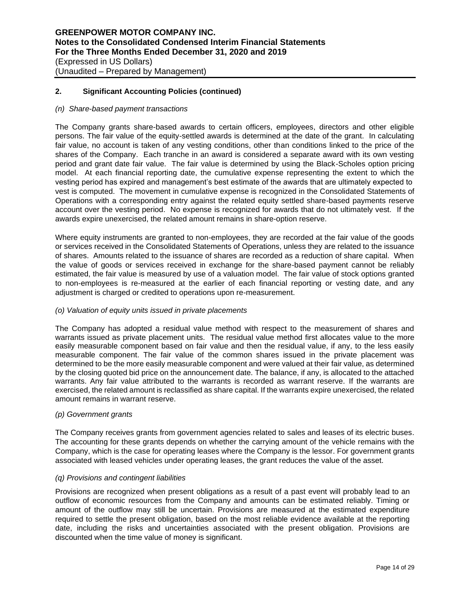#### *(n) Share-based payment transactions*

The Company grants share-based awards to certain officers, employees, directors and other eligible persons. The fair value of the equity-settled awards is determined at the date of the grant. In calculating fair value, no account is taken of any vesting conditions, other than conditions linked to the price of the shares of the Company. Each tranche in an award is considered a separate award with its own vesting period and grant date fair value. The fair value is determined by using the Black-Scholes option pricing model. At each financial reporting date, the cumulative expense representing the extent to which the vesting period has expired and management's best estimate of the awards that are ultimately expected to vest is computed. The movement in cumulative expense is recognized in the Consolidated Statements of Operations with a corresponding entry against the related equity settled share-based payments reserve account over the vesting period. No expense is recognized for awards that do not ultimately vest. If the awards expire unexercised, the related amount remains in share-option reserve.

Where equity instruments are granted to non-employees, they are recorded at the fair value of the goods or services received in the Consolidated Statements of Operations, unless they are related to the issuance of shares. Amounts related to the issuance of shares are recorded as a reduction of share capital. When the value of goods or services received in exchange for the share-based payment cannot be reliably estimated, the fair value is measured by use of a valuation model. The fair value of stock options granted to non-employees is re-measured at the earlier of each financial reporting or vesting date, and any adjustment is charged or credited to operations upon re-measurement.

## *(o) Valuation of equity units issued in private placements*

The Company has adopted a residual value method with respect to the measurement of shares and warrants issued as private placement units. The residual value method first allocates value to the more easily measurable component based on fair value and then the residual value, if any, to the less easily measurable component. The fair value of the common shares issued in the private placement was determined to be the more easily measurable component and were valued at their fair value, as determined by the closing quoted bid price on the announcement date. The balance, if any, is allocated to the attached warrants. Any fair value attributed to the warrants is recorded as warrant reserve. If the warrants are exercised, the related amount is reclassified as share capital. If the warrants expire unexercised, the related amount remains in warrant reserve.

#### *(p) Government grants*

The Company receives grants from government agencies related to sales and leases of its electric buses. The accounting for these grants depends on whether the carrying amount of the vehicle remains with the Company, which is the case for operating leases where the Company is the lessor. For government grants associated with leased vehicles under operating leases, the grant reduces the value of the asset.

## *(q) Provisions and contingent liabilities*

Provisions are recognized when present obligations as a result of a past event will probably lead to an outflow of economic resources from the Company and amounts can be estimated reliably. Timing or amount of the outflow may still be uncertain. Provisions are measured at the estimated expenditure required to settle the present obligation, based on the most reliable evidence available at the reporting date, including the risks and uncertainties associated with the present obligation. Provisions are discounted when the time value of money is significant.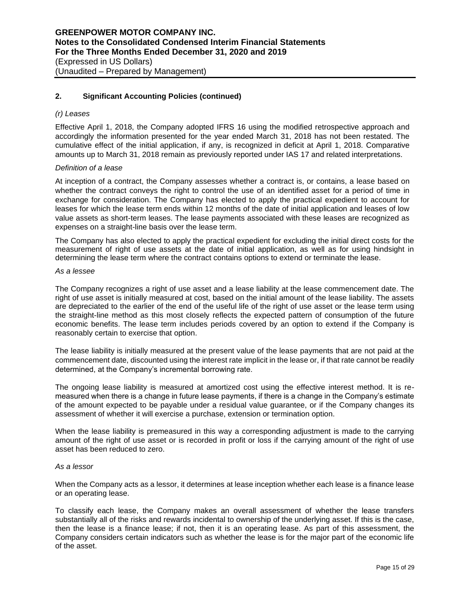## *(r) Leases*

Effective April 1, 2018, the Company adopted IFRS 16 using the modified retrospective approach and accordingly the information presented for the year ended March 31, 2018 has not been restated. The cumulative effect of the initial application, if any, is recognized in deficit at April 1, 2018. Comparative amounts up to March 31, 2018 remain as previously reported under IAS 17 and related interpretations.

#### *Definition of a lease*

At inception of a contract, the Company assesses whether a contract is, or contains, a lease based on whether the contract conveys the right to control the use of an identified asset for a period of time in exchange for consideration. The Company has elected to apply the practical expedient to account for leases for which the lease term ends within 12 months of the date of initial application and leases of low value assets as short-term leases. The lease payments associated with these leases are recognized as expenses on a straight-line basis over the lease term.

The Company has also elected to apply the practical expedient for excluding the initial direct costs for the measurement of right of use assets at the date of initial application, as well as for using hindsight in determining the lease term where the contract contains options to extend or terminate the lease.

#### *As a lessee*

The Company recognizes a right of use asset and a lease liability at the lease commencement date. The right of use asset is initially measured at cost, based on the initial amount of the lease liability. The assets are depreciated to the earlier of the end of the useful life of the right of use asset or the lease term using the straight-line method as this most closely reflects the expected pattern of consumption of the future economic benefits. The lease term includes periods covered by an option to extend if the Company is reasonably certain to exercise that option.

The lease liability is initially measured at the present value of the lease payments that are not paid at the commencement date, discounted using the interest rate implicit in the lease or, if that rate cannot be readily determined, at the Company's incremental borrowing rate.

The ongoing lease liability is measured at amortized cost using the effective interest method. It is remeasured when there is a change in future lease payments, if there is a change in the Company's estimate of the amount expected to be payable under a residual value guarantee, or if the Company changes its assessment of whether it will exercise a purchase, extension or termination option.

When the lease liability is premeasured in this way a corresponding adjustment is made to the carrying amount of the right of use asset or is recorded in profit or loss if the carrying amount of the right of use asset has been reduced to zero.

#### *As a lessor*

When the Company acts as a lessor, it determines at lease inception whether each lease is a finance lease or an operating lease.

To classify each lease, the Company makes an overall assessment of whether the lease transfers substantially all of the risks and rewards incidental to ownership of the underlying asset. If this is the case, then the lease is a finance lease; if not, then it is an operating lease. As part of this assessment, the Company considers certain indicators such as whether the lease is for the major part of the economic life of the asset.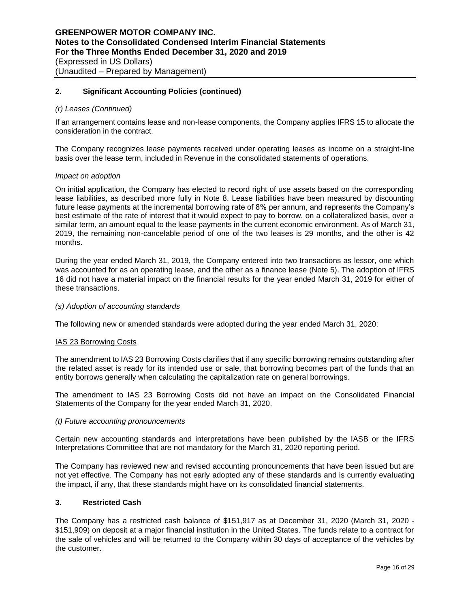#### *(r) Leases (Continued)*

If an arrangement contains lease and non-lease components, the Company applies IFRS 15 to allocate the consideration in the contract.

The Company recognizes lease payments received under operating leases as income on a straight-line basis over the lease term, included in Revenue in the consolidated statements of operations.

#### *Impact on adoption*

On initial application, the Company has elected to record right of use assets based on the corresponding lease liabilities, as described more fully in Note 8. Lease liabilities have been measured by discounting future lease payments at the incremental borrowing rate of 8% per annum, and represents the Company's best estimate of the rate of interest that it would expect to pay to borrow, on a collateralized basis, over a similar term, an amount equal to the lease payments in the current economic environment. As of March 31, 2019, the remaining non-cancelable period of one of the two leases is 29 months, and the other is 42 months.

During the year ended March 31, 2019, the Company entered into two transactions as lessor, one which was accounted for as an operating lease, and the other as a finance lease (Note 5). The adoption of IFRS 16 did not have a material impact on the financial results for the year ended March 31, 2019 for either of these transactions.

#### *(s) Adoption of accounting standards*

The following new or amended standards were adopted during the year ended March 31, 2020:

#### IAS 23 Borrowing Costs

The amendment to IAS 23 Borrowing Costs clarifies that if any specific borrowing remains outstanding after the related asset is ready for its intended use or sale, that borrowing becomes part of the funds that an entity borrows generally when calculating the capitalization rate on general borrowings.

The amendment to IAS 23 Borrowing Costs did not have an impact on the Consolidated Financial Statements of the Company for the year ended March 31, 2020.

#### *(t) Future accounting pronouncements*

Certain new accounting standards and interpretations have been published by the IASB or the IFRS Interpretations Committee that are not mandatory for the March 31, 2020 reporting period.

The Company has reviewed new and revised accounting pronouncements that have been issued but are not yet effective. The Company has not early adopted any of these standards and is currently evaluating the impact, if any, that these standards might have on its consolidated financial statements.

## **3. Restricted Cash**

The Company has a restricted cash balance of \$151,917 as at December 31, 2020 (March 31, 2020 - \$151,909) on deposit at a major financial institution in the United States. The funds relate to a contract for the sale of vehicles and will be returned to the Company within 30 days of acceptance of the vehicles by the customer.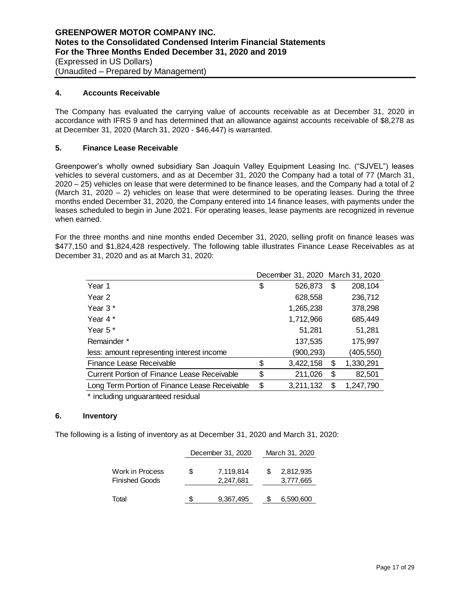## **4. Accounts Receivable**

The Company has evaluated the carrying value of accounts receivable as at December 31, 2020 in accordance with IFRS 9 and has determined that an allowance against accounts receivable of \$8,278 as at December 31, 2020 (March 31, 2020 - \$46,447) is warranted.

## **5. Finance Lease Receivable**

Greenpower's wholly owned subsidiary San Joaquin Valley Equipment Leasing Inc. ("SJVEL") leases vehicles to several customers, and as at December 31, 2020 the Company had a total of 77 (March 31, 2020 – 25) vehicles on lease that were determined to be finance leases, and the Company had a total of 2 (March 31, 2020 – 2) vehicles on lease that were determined to be operating leases. During the three months ended December 31, 2020, the Company entered into 14 finance leases, with payments under the leases scheduled to begin in June 2021. For operating leases, lease payments are recognized in revenue when earned.

For the three months and nine months ended December 31, 2020, selling profit on finance leases was \$477,150 and \$1,824,428 respectively. The following table illustrates Finance Lease Receivables as at December 31, 2020 and as at March 31, 2020:

|                                                    |                 | December 31, 2020 March 31, 2020 |
|----------------------------------------------------|-----------------|----------------------------------|
| Year 1                                             | \$<br>526,873   | \$<br>208,104                    |
| Year 2                                             | 628,558         | 236,712                          |
| Year 3*                                            | 1,265,238       | 378,298                          |
| Year 4 *                                           | 1,712,966       | 685,449                          |
| Year $5*$                                          | 51,281          | 51,281                           |
| Remainder *                                        | 137,535         | 175,997                          |
| less: amount representing interest income          | (900, 293)      | (405,550)                        |
| Finance Lease Receivable                           | \$<br>3,422,158 | \$<br>1,330,291                  |
| <b>Current Portion of Finance Lease Receivable</b> | \$<br>211,026   | \$<br>82,501                     |
| Long Term Portion of Finance Lease Receivable      | \$<br>3,211,132 | \$<br>1,247,790                  |
|                                                    |                 |                                  |

\* including unguaranteed residual

## **6. Inventory**

The following is a listing of inventory as at December 31, 2020 and March 31, 2020:

|                                   |   | December 31, 2020      |   | March 31, 2020         |
|-----------------------------------|---|------------------------|---|------------------------|
| Work in Process<br>Finished Goods | S | 7,119,814<br>2,247,681 | S | 2,812,935<br>3,777,665 |
| Total                             | S | 9,367,495              |   | 6,590,600              |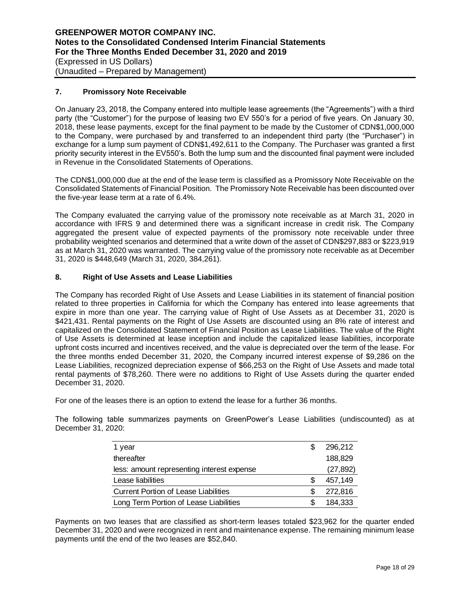## **7. Promissory Note Receivable**

On January 23, 2018, the Company entered into multiple lease agreements (the "Agreements") with a third party (the "Customer") for the purpose of leasing two EV 550's for a period of five years. On January 30, 2018, these lease payments, except for the final payment to be made by the Customer of CDN\$1,000,000 to the Company, were purchased by and transferred to an independent third party (the "Purchaser") in exchange for a lump sum payment of CDN\$1,492,611 to the Company. The Purchaser was granted a first priority security interest in the EV550's. Both the lump sum and the discounted final payment were included in Revenue in the Consolidated Statements of Operations.

The CDN\$1,000,000 due at the end of the lease term is classified as a Promissory Note Receivable on the Consolidated Statements of Financial Position. The Promissory Note Receivable has been discounted over the five-year lease term at a rate of 6.4%.

The Company evaluated the carrying value of the promissory note receivable as at March 31, 2020 in accordance with IFRS 9 and determined there was a significant increase in credit risk. The Company aggregated the present value of expected payments of the promissory note receivable under three probability weighted scenarios and determined that a write down of the asset of CDN\$297,883 or \$223,919 as at March 31, 2020 was warranted. The carrying value of the promissory note receivable as at December 31, 2020 is \$448,649 (March 31, 2020, 384,261).

## **8. Right of Use Assets and Lease Liabilities**

The Company has recorded Right of Use Assets and Lease Liabilities in its statement of financial position related to three properties in California for which the Company has entered into lease agreements that expire in more than one year. The carrying value of Right of Use Assets as at December 31, 2020 is \$421,431. Rental payments on the Right of Use Assets are discounted using an 8% rate of interest and capitalized on the Consolidated Statement of Financial Position as Lease Liabilities. The value of the Right of Use Assets is determined at lease inception and include the capitalized lease liabilities, incorporate upfront costs incurred and incentives received, and the value is depreciated over the term of the lease. For the three months ended December 31, 2020, the Company incurred interest expense of \$9,286 on the Lease Liabilities, recognized depreciation expense of \$66,253 on the Right of Use Assets and made total rental payments of \$78,260. There were no additions to Right of Use Assets during the quarter ended December 31, 2020.

For one of the leases there is an option to extend the lease for a further 36 months.

The following table summarizes payments on GreenPower's Lease Liabilities (undiscounted) as at December 31, 2020:

| 1 year                                      | S  | 296,212   |
|---------------------------------------------|----|-----------|
| thereafter                                  |    | 188,829   |
| less: amount representing interest expense  |    | (27, 892) |
| Lease liabilities                           | S  | 457.149   |
| <b>Current Portion of Lease Liabilities</b> |    | 272,816   |
| Long Term Portion of Lease Liabilities      | S. | 184.333   |

Payments on two leases that are classified as short-term leases totaled \$23,962 for the quarter ended December 31, 2020 and were recognized in rent and maintenance expense. The remaining minimum lease payments until the end of the two leases are \$52,840.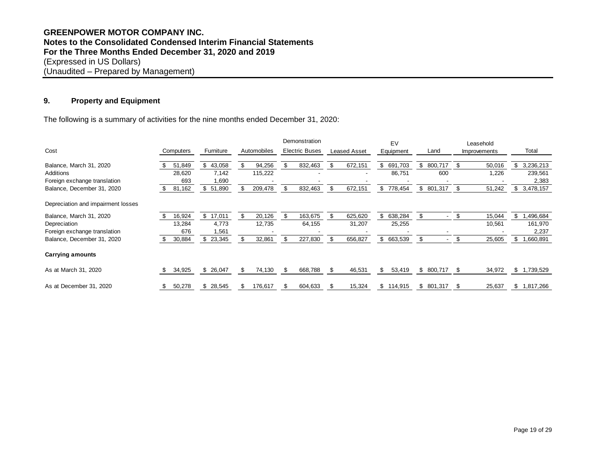## **GREENPOWER MOTOR COMPANY INC. Notes to the Consolidated Condensed Interim Financial Statements For the Three Months Ended December 31, 2020 and 2019** (Expressed in US Dollars) (Unaudited – Prepared by Management)

## **9. Property and Equipment**

| ະ.<br><b>Property and Equipment</b>                                                   |               |              |    |             |     |                       |      |                     |               |                      |                |     |           |
|---------------------------------------------------------------------------------------|---------------|--------------|----|-------------|-----|-----------------------|------|---------------------|---------------|----------------------|----------------|-----|-----------|
| The following is a summary of activities for the nine months ended December 31, 2020: |               |              |    |             |     |                       |      |                     |               |                      |                |     |           |
|                                                                                       |               |              |    |             |     | Demonstration         |      |                     | EV            |                      | Leasehold      |     |           |
| Cost                                                                                  | Computers     | Furniture    |    | Automobiles |     | <b>Electric Buses</b> |      | <b>Leased Asset</b> | Equipment     | Land                 | Improvements   |     | Total     |
| Balance, March 31, 2020                                                               | 51,849        | 43,058<br>\$ | S  | 94,256      | \$  | 832,463               | \$.  | 672,151             | 691,703<br>\$ | 800,717<br>\$        | 50,016         | \$  | 3,236,213 |
| Additions                                                                             | 28,620        | 7,142        |    | 115,222     |     |                       |      |                     | 86,751        | 600                  | 1,226          |     | 239,561   |
| Foreign exchange translation                                                          | 693           | 1,690        |    |             |     |                       |      |                     |               |                      |                |     | 2,383     |
| Balance, December 31, 2020                                                            | 81,162<br>\$. | \$<br>51,890 |    | 209,478     | \$  | 832,463               | \$   | 672,151             | \$<br>778,454 | 801,317<br>\$        | 51,242<br>- \$ | \$  | 3,478,157 |
| Depreciation and impairment losses                                                    |               |              |    |             |     |                       |      |                     |               |                      |                |     |           |
| Balance, March 31, 2020                                                               | 16,924        | 17,011<br>\$ | \$ | 20,126      | \$. | 163,675               | \$   | 625,620             | \$<br>638,284 | \$<br>$\blacksquare$ | - \$<br>15,044 | \$. | ,496,684  |
| Depreciation                                                                          | 13,284        | 4,773        |    | 12,735      |     | 64,155                |      | 31,207              | 25,255        |                      | 10,561         |     | 161,970   |
| Foreign exchange translation                                                          | 676           | 1,561        |    |             |     |                       |      |                     |               |                      |                |     | 2,237     |
| Balance, December 31, 2020                                                            | 30,884<br>\$. | \$<br>23,345 |    | 32,861      | \$  | 227,830               | \$   | 656,827             | \$ 663,539    | \$<br>$\blacksquare$ | \$<br>25,605   | \$  | ,660,891  |
| <b>Carrying amounts</b>                                                               |               |              |    |             |     |                       |      |                     |               |                      |                |     |           |
| As at March 31, 2020                                                                  | 34,925        | 26,047<br>S. | S  | 74,130      | \$  | 668,788               | - \$ | 46,531              | S<br>53,419   | \$<br>800,717        | 34,972         | æ.  | 1,739,529 |
| As at December 31, 2020                                                               | 50,278<br>\$  | 28,545<br>\$ |    | 176,617     | \$  | 604,633               | - 5  | 15,324              | 114,915<br>\$ | 801,317<br>\$        | 25,637<br>- 5  | S   | 1,817,266 |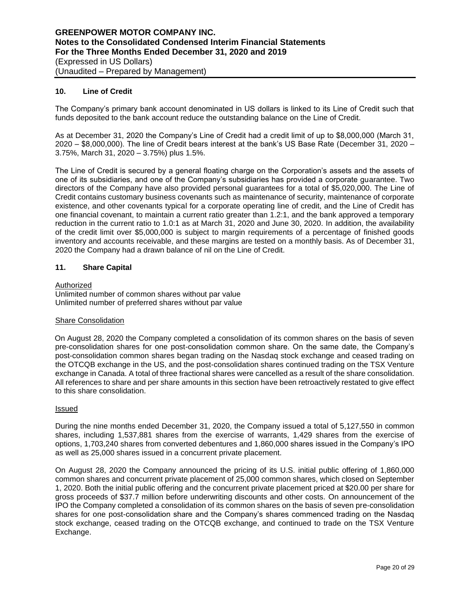## **10. Line of Credit**

The Company's primary bank account denominated in US dollars is linked to its Line of Credit such that funds deposited to the bank account reduce the outstanding balance on the Line of Credit.

As at December 31, 2020 the Company's Line of Credit had a credit limit of up to \$8,000,000 (March 31, 2020 – \$8,000,000). The line of Credit bears interest at the bank's US Base Rate (December 31, 2020 – 3.75%, March 31, 2020 – 3.75%) plus 1.5%.

The Line of Credit is secured by a general floating charge on the Corporation's assets and the assets of one of its subsidiaries, and one of the Company's subsidiaries has provided a corporate guarantee. Two directors of the Company have also provided personal guarantees for a total of \$5,020,000. The Line of Credit contains customary business covenants such as maintenance of security, maintenance of corporate existence, and other covenants typical for a corporate operating line of credit, and the Line of Credit has one financial covenant, to maintain a current ratio greater than 1.2:1, and the bank approved a temporary reduction in the current ratio to 1.0:1 as at March 31, 2020 and June 30, 2020. In addition, the availability of the credit limit over \$5,000,000 is subject to margin requirements of a percentage of finished goods inventory and accounts receivable, and these margins are tested on a monthly basis. As of December 31, 2020 the Company had a drawn balance of nil on the Line of Credit.

## **11. Share Capital**

#### Authorized

Unlimited number of common shares without par value Unlimited number of preferred shares without par value

## **Share Consolidation**

On August 28, 2020 the Company completed a consolidation of its common shares on the basis of seven pre-consolidation shares for one post-consolidation common share. On the same date, the Company's post-consolidation common shares began trading on the Nasdaq stock exchange and ceased trading on the OTCQB exchange in the US, and the post-consolidation shares continued trading on the TSX Venture exchange in Canada. A total of three fractional shares were cancelled as a result of the share consolidation. All references to share and per share amounts in this section have been retroactively restated to give effect to this share consolidation.

#### Issued

During the nine months ended December 31, 2020, the Company issued a total of 5,127,550 in common shares, including 1,537,881 shares from the exercise of warrants, 1,429 shares from the exercise of options, 1,703,240 shares from converted debentures and 1,860,000 shares issued in the Company's IPO as well as 25,000 shares issued in a concurrent private placement.

On August 28, 2020 the Company announced the pricing of its U.S. initial public offering of 1,860,000 common shares and concurrent private placement of 25,000 common shares, which closed on September 1, 2020. Both the initial public offering and the concurrent private placement priced at \$20.00 per share for gross proceeds of \$37.7 million before underwriting discounts and other costs. On announcement of the IPO the Company completed a consolidation of its common shares on the basis of seven pre-consolidation shares for one post-consolidation share and the Company's shares commenced trading on the Nasdaq stock exchange, ceased trading on the OTCQB exchange, and continued to trade on the TSX Venture Exchange.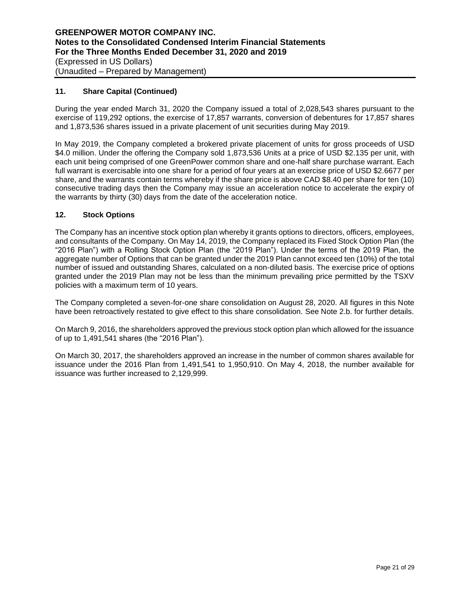## **11. Share Capital (Continued)**

During the year ended March 31, 2020 the Company issued a total of 2,028,543 shares pursuant to the exercise of 119,292 options, the exercise of 17,857 warrants, conversion of debentures for 17,857 shares and 1,873,536 shares issued in a private placement of unit securities during May 2019.

In May 2019, the Company completed a brokered private placement of units for gross proceeds of USD \$4.0 million. Under the offering the Company sold 1,873,536 Units at a price of USD \$2.135 per unit, with each unit being comprised of one GreenPower common share and one-half share purchase warrant. Each full warrant is exercisable into one share for a period of four years at an exercise price of USD \$2.6677 per share, and the warrants contain terms whereby if the share price is above CAD \$8.40 per share for ten (10) consecutive trading days then the Company may issue an acceleration notice to accelerate the expiry of the warrants by thirty (30) days from the date of the acceleration notice.

## **12. Stock Options**

The Company has an incentive stock option plan whereby it grants options to directors, officers, employees, and consultants of the Company. On May 14, 2019, the Company replaced its Fixed Stock Option Plan (the "2016 Plan") with a Rolling Stock Option Plan (the "2019 Plan"). Under the terms of the 2019 Plan, the aggregate number of Options that can be granted under the 2019 Plan cannot exceed ten (10%) of the total number of issued and outstanding Shares, calculated on a non-diluted basis. The exercise price of options granted under the 2019 Plan may not be less than the minimum prevailing price permitted by the TSXV policies with a maximum term of 10 years.

The Company completed a seven-for-one share consolidation on August 28, 2020. All figures in this Note have been retroactively restated to give effect to this share consolidation. See Note 2.b. for further details.

On March 9, 2016, the shareholders approved the previous stock option plan which allowed for the issuance of up to 1,491,541 shares (the "2016 Plan").

On March 30, 2017, the shareholders approved an increase in the number of common shares available for issuance under the 2016 Plan from 1,491,541 to 1,950,910. On May 4, 2018, the number available for issuance was further increased to 2,129,999.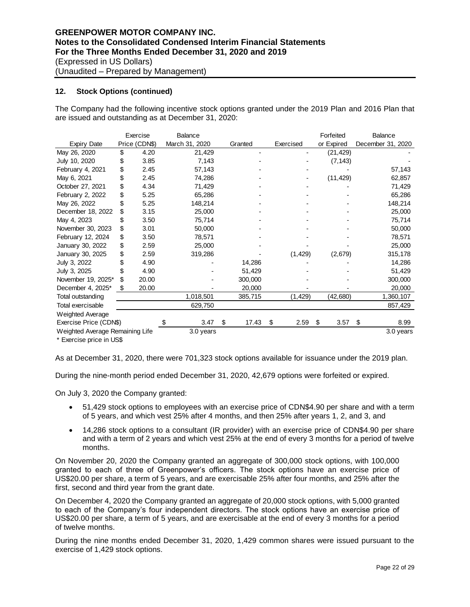## **12. Stock Options (continued)**

The Company had the following incentive stock options granted under the 2019 Plan and 2016 Plan that are issued and outstanding as at December 31, 2020:

|                                                                                                                                                                                                                                                                                                                                                             |    | Exercise      | Balance                                                                                  |             |            | Forfeited  | Balance                                                                                         |
|-------------------------------------------------------------------------------------------------------------------------------------------------------------------------------------------------------------------------------------------------------------------------------------------------------------------------------------------------------------|----|---------------|------------------------------------------------------------------------------------------|-------------|------------|------------|-------------------------------------------------------------------------------------------------|
| <b>Expiry Date</b>                                                                                                                                                                                                                                                                                                                                          |    | Price (CDN\$) | March 31, 2020                                                                           | Granted     | Exercised  | or Expired | December 31, 2020                                                                               |
| May 26, 2020                                                                                                                                                                                                                                                                                                                                                | \$ | 4.20          | 21,429                                                                                   | -           |            | (21, 429)  |                                                                                                 |
| July 10, 2020                                                                                                                                                                                                                                                                                                                                               | \$ | 3.85          | 7,143                                                                                    |             |            | (7, 143)   |                                                                                                 |
| February 4, 2021                                                                                                                                                                                                                                                                                                                                            | \$ | 2.45          | 57,143                                                                                   |             |            |            | 57,143                                                                                          |
| May 6, 2021                                                                                                                                                                                                                                                                                                                                                 | \$ | 2.45          | 74,286                                                                                   |             |            | (11, 429)  | 62,857                                                                                          |
| October 27, 2021                                                                                                                                                                                                                                                                                                                                            | \$ | 4.34          | 71,429                                                                                   |             |            |            | 71,429                                                                                          |
| February 2, 2022                                                                                                                                                                                                                                                                                                                                            | \$ | 5.25          | 65,286                                                                                   |             |            |            | 65,286                                                                                          |
| May 26, 2022                                                                                                                                                                                                                                                                                                                                                | \$ | 5.25          | 148,214                                                                                  |             |            |            | 148,214                                                                                         |
| December 18, 2022                                                                                                                                                                                                                                                                                                                                           | \$ | 3.15          | 25,000                                                                                   |             |            |            | 25,000                                                                                          |
| May 4, 2023                                                                                                                                                                                                                                                                                                                                                 | \$ | 3.50          | 75,714                                                                                   |             |            |            | 75,714                                                                                          |
| November 30, 2023                                                                                                                                                                                                                                                                                                                                           | \$ | 3.01          | 50,000                                                                                   |             |            |            | 50,000                                                                                          |
| February 12, 2024                                                                                                                                                                                                                                                                                                                                           | \$ | 3.50          | 78,571                                                                                   |             |            |            | 78,571                                                                                          |
| January 30, 2022                                                                                                                                                                                                                                                                                                                                            | \$ | 2.59          | 25,000                                                                                   |             |            |            | 25,000                                                                                          |
| January 30, 2025                                                                                                                                                                                                                                                                                                                                            | \$ | 2.59          | 319,286                                                                                  |             | (1, 429)   | (2,679)    | 315,178                                                                                         |
| July 3, 2022                                                                                                                                                                                                                                                                                                                                                | \$ | 4.90          |                                                                                          | 14,286      |            |            | 14,286                                                                                          |
| July 3, 2025                                                                                                                                                                                                                                                                                                                                                | \$ | 4.90          |                                                                                          | 51,429      |            |            | 51,429                                                                                          |
| November 19, 2025*                                                                                                                                                                                                                                                                                                                                          | \$ | 20.00         |                                                                                          | 300,000     |            |            | 300,000                                                                                         |
| December 4, 2025*                                                                                                                                                                                                                                                                                                                                           | \$ | 20.00         |                                                                                          | 20,000      |            |            | 20,000                                                                                          |
| Total outstanding                                                                                                                                                                                                                                                                                                                                           |    |               | 1,018,501                                                                                | 385,715     | (1, 429)   | (42, 680)  | 1,360,107                                                                                       |
| Total exercisable                                                                                                                                                                                                                                                                                                                                           |    |               | 629,750                                                                                  |             |            |            | 857,429                                                                                         |
| Weighted Average                                                                                                                                                                                                                                                                                                                                            |    |               |                                                                                          |             |            |            |                                                                                                 |
| Exercise Price (CDN\$)                                                                                                                                                                                                                                                                                                                                      |    |               | \$<br>3.47                                                                               | \$<br>17.43 | 2.59<br>\$ | \$<br>3.57 | \$<br>8.99                                                                                      |
| Weighted Average Remaining Life                                                                                                                                                                                                                                                                                                                             |    |               | 3.0 years                                                                                |             |            |            | 3.0 years                                                                                       |
| As at December 31, 2020, there were 701,323 stock options available for issuance under the 2019 plan.<br>During the nine-month period ended December 31, 2020, 42,679 options were forfeited or expired.                                                                                                                                                    |    |               |                                                                                          |             |            |            |                                                                                                 |
| On July 3, 2020 the Company granted:                                                                                                                                                                                                                                                                                                                        |    |               |                                                                                          |             |            |            |                                                                                                 |
|                                                                                                                                                                                                                                                                                                                                                             |    |               | of 5 years, and which vest 25% after 4 months, and then 25% after years 1, 2, and 3, and |             |            |            | 51,429 stock options to employees with an exercise price of CDN\$4.90 per share and with a term |
| 14,286 stock options to a consultant (IR provider) with an exercise price of CDN\$4.90 per share<br>and with a term of 2 years and which vest 25% at the end of every 3 months for a period of twelve<br>months.                                                                                                                                            |    |               |                                                                                          |             |            |            |                                                                                                 |
| On November 20, 2020 the Company granted an aggregate of 300,000 stock options, with 100,000<br>granted to each of three of Greenpower's officers. The stock options have an exercise price of<br>US\$20.00 per share, a term of 5 years, and are exercisable 25% after four months, and 25% after the<br>first, second and third year from the grant date. |    |               |                                                                                          |             |            |            |                                                                                                 |
| On December 4, 2020 the Company granted an aggregate of 20,000 stock options, with 5,000 granted<br>to each of the Company's four independent directors. The stock options have an exercise price of<br>US\$20.00 per share, a term of 5 years, and are exercisable at the end of every 3 months for a period<br>of twelve months.                          |    |               |                                                                                          |             |            |            |                                                                                                 |
| exercise of 1,429 stock options.                                                                                                                                                                                                                                                                                                                            |    |               |                                                                                          |             |            |            | During the nine months ended December 31, 2020, 1,429 common shares were issued pursuant to the |

- 51,429 stock options to employees with an exercise price of CDN\$4.90 per share and with a term of 5 years, and which vest 25% after 4 months, and then 25% after years 1, 2, and 3, and
- 14,286 stock options to a consultant (IR provider) with an exercise price of CDN\$4.90 per share and with a term of 2 years and which vest 25% at the end of every 3 months for a period of twelve months.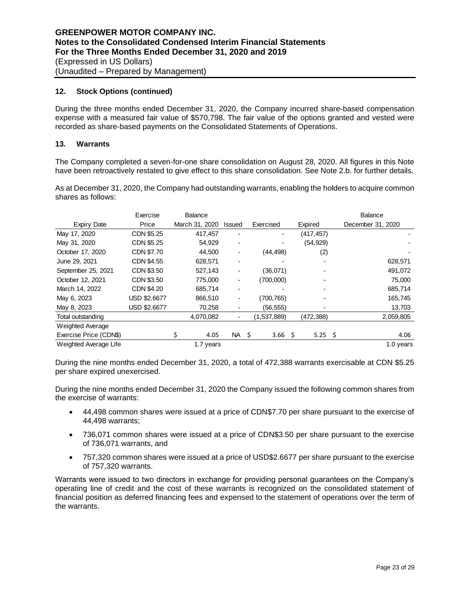## **12. Stock Options (continued)**

During the three months ended December 31, 2020, the Company incurred share-based compensation expense with a measured fair value of \$570,798. The fair value of the options granted and vested were recorded as share-based payments on the Consolidated Statements of Operations.

## **13. Warrants**

The Company completed a seven-for-one share consolidation on August 28, 2020. All figures in this Note have been retroactively restated to give effect to this share consolidation. See Note 2.b. for further details.

As at December 31, 2020, the Company had outstanding warrants, enabling the holders to acquire common shares as follows:

|                        | Exercise            | Balance        |                          |             |                         | Balance           |
|------------------------|---------------------|----------------|--------------------------|-------------|-------------------------|-------------------|
| Expiry Date            | Price               | March 31, 2020 | Issued                   | Exercised   | Expired                 | December 31, 2020 |
| May 17, 2020           | CDN \$5.25          | 417,457        | $\overline{\phantom{0}}$ | -           | (417, 457)              |                   |
| May 31, 2020           | CDN \$5.25          | 54,929         | ۰                        |             | (54, 929)               |                   |
| October 17, 2020       | CDN \$7.70          | 44,500         | -                        | (44, 498)   | (2)                     |                   |
| June 29, 2021          | CDN \$4.55          | 628,571        | -                        |             |                         | 628,571           |
| September 25, 2021     | CDN \$3.50          | 527,143        | ۰                        | (36,071)    |                         | 491,072           |
| October 12, 2021       | CDN \$3.50          | 775,000        | ۰                        | (700,000)   |                         | 75,000            |
| March 14, 2022         | CDN \$4.20          | 685,714        | ۰                        |             |                         | 685,714           |
| May 6, 2023            | <b>USD \$2.6677</b> | 866,510        | ۰                        | (700, 765)  |                         | 165,745           |
| May 8, 2023            | USD \$2.6677        | 70,258         | ۰                        | (56, 555)   |                         | 13,703            |
| Total outstanding      |                     | 4,070,082      | ۰                        | (1,537,889) | (472,388)               | 2,059,805         |
| Weighted Average       |                     |                |                          |             |                         |                   |
| Exercise Price (CDN\$) |                     | 4.05           | NA \$                    | 3.66        | $5.25\frac{2}{3}$<br>-S | 4.06              |
| Weighted Average Life  |                     | 1.7 years      |                          |             |                         | 1.0 years         |

During the nine months ended December 31, 2020, a total of 472,388 warrants exercisable at CDN \$5.25 per share expired unexercised.

During the nine months ended December 31, 2020 the Company issued the following common shares from the exercise of warrants:

- 44,498 common shares were issued at a price of CDN\$7.70 per share pursuant to the exercise of 44,498 warrants;
- 736,071 common shares were issued at a price of CDN\$3.50 per share pursuant to the exercise of 736,071 warrants, and
- 757,320 common shares were issued at a price of USD\$2.6677 per share pursuant to the exercise of 757,320 warrants.

Warrants were issued to two directors in exchange for providing personal guarantees on the Company's operating line of credit and the cost of these warrants is recognized on the consolidated statement of financial position as deferred financing fees and expensed to the statement of operations over the term of the warrants.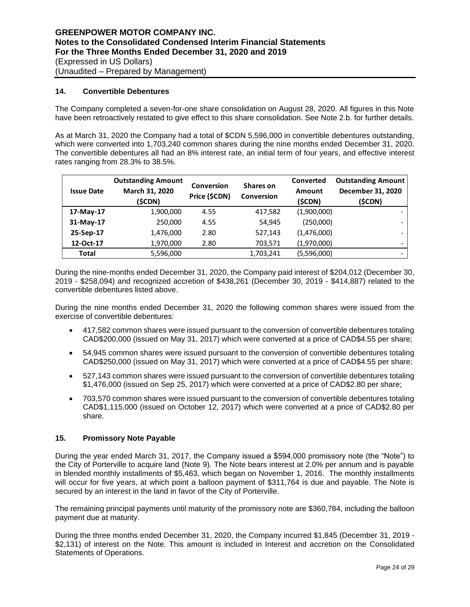## **14. Convertible Debentures**

The Company completed a seven-for-one share consolidation on August 28, 2020. All figures in this Note have been retroactively restated to give effect to this share consolidation. See Note 2.b. for further details.

As at March 31, 2020 the Company had a total of \$CDN 5,596,000 in convertible debentures outstanding, which were converted into 1,703,240 common shares during the nine months ended December 31, 2020. The convertible debentures all had an 8% interest rate, an initial term of four years, and effective interest rates ranging from 28.3% to 38.5%.

| <b>Issue Date</b> | <b>Outstanding Amount</b><br>March 31, 2020<br>(\$CDN) | <b>Conversion</b><br>Price (\$CDN) | Shares on<br><b>Conversion</b> | Converted<br><b>Amount</b><br>(\$CDN) | <b>Outstanding Amount</b><br>December 31, 2020<br>(\$CDN) |
|-------------------|--------------------------------------------------------|------------------------------------|--------------------------------|---------------------------------------|-----------------------------------------------------------|
| 17-May-17         | 1,900,000                                              | 4.55                               | 417,582                        | (1,900,000)                           |                                                           |
| 31-May-17         | 250,000                                                | 4.55                               | 54,945                         | (250,000)                             |                                                           |
| 25-Sep-17         | 1,476,000                                              | 2.80                               | 527,143                        | (1,476,000)                           |                                                           |
| 12-Oct-17         | 1,970,000                                              | 2.80                               | 703,571                        | (1,970,000)                           |                                                           |
| Total             | 5,596,000                                              |                                    | 1,703,241                      | (5,596,000)                           |                                                           |

During the nine-months ended December 31, 2020, the Company paid interest of \$204,012 (December 30, 2019 - \$258,094) and recognized accretion of \$438,261 (December 30, 2019 - \$414,887) related to the convertible debentures listed above.

During the nine months ended December 31, 2020 the following common shares were issued from the exercise of convertible debentures:

- 417,582 common shares were issued pursuant to the conversion of convertible debentures totaling CAD\$200,000 (issued on May 31, 2017) which were converted at a price of CAD\$4.55 per share;
- 54,945 common shares were issued pursuant to the conversion of convertible debentures totaling CAD\$250,000 (issued on May 31, 2017) which were converted at a price of CAD\$4.55 per share;
- 527,143 common shares were issued pursuant to the conversion of convertible debentures totaling \$1,476,000 (issued on Sep 25, 2017) which were converted at a price of CAD\$2.80 per share;
- 703,570 common shares were issued pursuant to the conversion of convertible debentures totaling CAD\$1,115,000 (issued on October 12, 2017) which were converted at a price of CAD\$2.80 per share.

## **15. Promissory Note Payable**

During the year ended March 31, 2017, the Company issued a \$594,000 promissory note (the "Note") to the City of Porterville to acquire land (Note 9). The Note bears interest at 2.0% per annum and is payable in blended monthly installments of \$5,463, which began on November 1, 2016. The monthly installments will occur for five years, at which point a balloon payment of \$311,764 is due and payable. The Note is secured by an interest in the land in favor of the City of Porterville.

The remaining principal payments until maturity of the promissory note are \$360,784, including the balloon payment due at maturity.

During the three months ended December 31, 2020, the Company incurred \$1,845 (December 31, 2019 - \$2,131) of interest on the Note. This amount is included in Interest and accretion on the Consolidated Statements of Operations.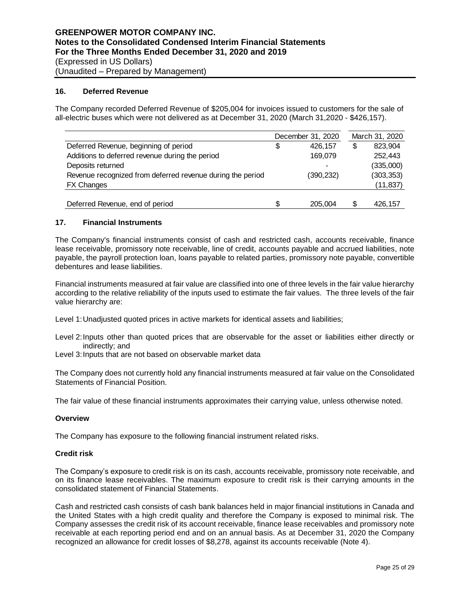#### **16. Deferred Revenue**

The Company recorded Deferred Revenue of \$205,004 for invoices issued to customers for the sale of all-electric buses which were not delivered as at December 31, 2020 (March 31,2020 - \$426,157).

|                                                            |   | December 31, 2020 |   | March 31, 2020 |
|------------------------------------------------------------|---|-------------------|---|----------------|
| Deferred Revenue, beginning of period                      | S | 426.157           | S | 823.904        |
| Additions to deferred revenue during the period            |   | 169,079           |   | 252,443        |
| Deposits returned                                          |   |                   |   | (335,000)      |
| Revenue recognized from deferred revenue during the period |   | (390,232)         |   | (303, 353)     |
| <b>FX Changes</b>                                          |   |                   |   | (11, 837)      |
|                                                            |   |                   |   |                |
| Deferred Revenue, end of period                            | S | 205.004           | S | 426.157        |

#### **17. Financial Instruments**

The Company's financial instruments consist of cash and restricted cash, accounts receivable, finance lease receivable, promissory note receivable, line of credit, accounts payable and accrued liabilities, note payable, the payroll protection loan, loans payable to related parties, promissory note payable, convertible debentures and lease liabilities.

Financial instruments measured at fair value are classified into one of three levels in the fair value hierarchy according to the relative reliability of the inputs used to estimate the fair values. The three levels of the fair value hierarchy are:

Level 1:Unadjusted quoted prices in active markets for identical assets and liabilities;

- Level 2:Inputs other than quoted prices that are observable for the asset or liabilities either directly or indirectly; and
- Level 3: Inputs that are not based on observable market data

The Company does not currently hold any financial instruments measured at fair value on the Consolidated Statements of Financial Position.

The fair value of these financial instruments approximates their carrying value, unless otherwise noted.

#### **Overview**

The Company has exposure to the following financial instrument related risks.

#### **Credit risk**

The Company's exposure to credit risk is on its cash, accounts receivable, promissory note receivable, and on its finance lease receivables. The maximum exposure to credit risk is their carrying amounts in the consolidated statement of Financial Statements.

Cash and restricted cash consists of cash bank balances held in major financial institutions in Canada and the United States with a high credit quality and therefore the Company is exposed to minimal risk. The Company assesses the credit risk of its account receivable, finance lease receivables and promissory note receivable at each reporting period end and on an annual basis. As at December 31, 2020 the Company recognized an allowance for credit losses of \$8,278, against its accounts receivable (Note 4).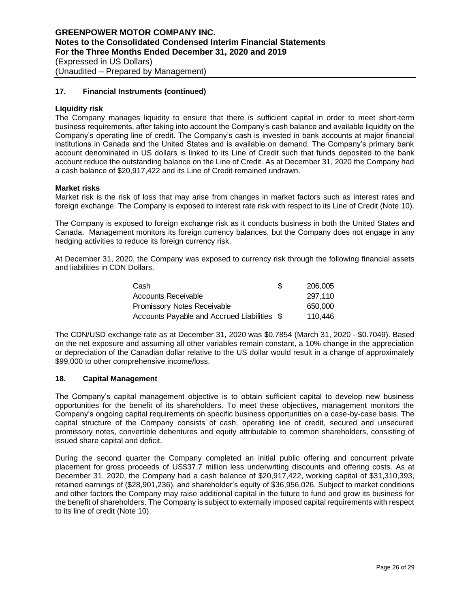## **17. Financial Instruments (continued)**

## **Liquidity risk**

The Company manages liquidity to ensure that there is sufficient capital in order to meet short-term business requirements, after taking into account the Company's cash balance and available liquidity on the Company's operating line of credit. The Company's cash is invested in bank accounts at major financial institutions in Canada and the United States and is available on demand. The Company's primary bank account denominated in US dollars is linked to its Line of Credit such that funds deposited to the bank account reduce the outstanding balance on the Line of Credit. As at December 31, 2020 the Company had a cash balance of \$20,917,422 and its Line of Credit remained undrawn.

#### **Market risks**

Market risk is the risk of loss that may arise from changes in market factors such as interest rates and foreign exchange. The Company is exposed to interest rate risk with respect to its Line of Credit (Note 10).

The Company is exposed to foreign exchange risk as it conducts business in both the United States and Canada. Management monitors its foreign currency balances, but the Company does not engage in any hedging activities to reduce its foreign currency risk.

At December 31, 2020, the Company was exposed to currency risk through the following financial assets and liabilities in CDN Dollars.

| Cash                                        | S | 206,005 |
|---------------------------------------------|---|---------|
| Accounts Receivable                         |   | 297.110 |
| <b>Promissory Notes Receivable</b>          |   | 650,000 |
| Accounts Payable and Accrued Liabilities \$ |   | 110.446 |

The CDN/USD exchange rate as at December 31, 2020 was \$0.7854 (March 31, 2020 - \$0.7049). Based on the net exposure and assuming all other variables remain constant, a 10% change in the appreciation or depreciation of the Canadian dollar relative to the US dollar would result in a change of approximately \$99,000 to other comprehensive income/loss.

#### **18. Capital Management**

The Company's capital management objective is to obtain sufficient capital to develop new business opportunities for the benefit of its shareholders. To meet these objectives, management monitors the Company's ongoing capital requirements on specific business opportunities on a case-by-case basis. The capital structure of the Company consists of cash, operating line of credit, secured and unsecured promissory notes, convertible debentures and equity attributable to common shareholders, consisting of issued share capital and deficit.

During the second quarter the Company completed an initial public offering and concurrent private placement for gross proceeds of US\$37.7 million less underwriting discounts and offering costs. As at December 31, 2020, the Company had a cash balance of \$20,917,422, working capital of \$31,310,393, retained earnings of (\$28,901,236), and shareholder's equity of \$36,956,026. Subject to market conditions and other factors the Company may raise additional capital in the future to fund and grow its business for the benefit of shareholders. The Company is subject to externally imposed capital requirements with respect to its line of credit (Note 10).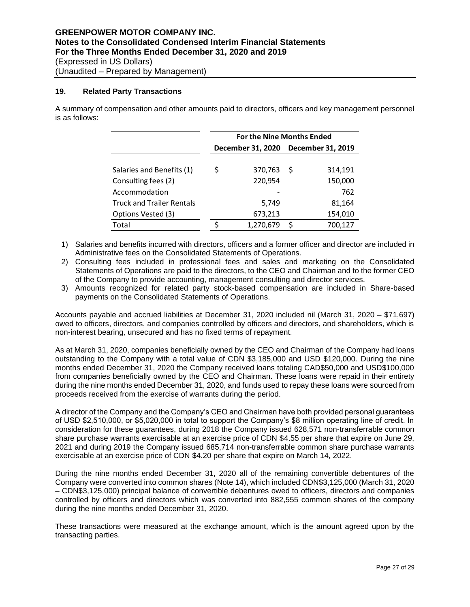#### **19. Related Party Transactions**

A summary of compensation and other amounts paid to directors, officers and key management personnel is as follows:

|                                  | <b>For the Nine Months Ended</b> |                                     |    |         |  |  |  |  |  |
|----------------------------------|----------------------------------|-------------------------------------|----|---------|--|--|--|--|--|
|                                  |                                  | December 31, 2020 December 31, 2019 |    |         |  |  |  |  |  |
|                                  |                                  |                                     |    |         |  |  |  |  |  |
| Salaries and Benefits (1)        | Ś                                | 370,763                             | -S | 314,191 |  |  |  |  |  |
| Consulting fees (2)              |                                  | 220,954                             |    | 150,000 |  |  |  |  |  |
| Accommodation                    |                                  |                                     |    | 762     |  |  |  |  |  |
| <b>Truck and Trailer Rentals</b> |                                  | 5,749                               |    | 81,164  |  |  |  |  |  |
| Options Vested (3)               |                                  | 673,213                             |    | 154,010 |  |  |  |  |  |
| Total                            |                                  | 1,270,679                           | S  | 700,127 |  |  |  |  |  |

- 1) Salaries and benefits incurred with directors, officers and a former officer and director are included in Administrative fees on the Consolidated Statements of Operations.
- 2) Consulting fees included in professional fees and sales and marketing on the Consolidated Statements of Operations are paid to the directors, to the CEO and Chairman and to the former CEO of the Company to provide accounting, management consulting and director services.
- 3) Amounts recognized for related party stock-based compensation are included in Share-based payments on the Consolidated Statements of Operations.

Accounts payable and accrued liabilities at December 31, 2020 included nil (March 31, 2020 – \$71,697) owed to officers, directors, and companies controlled by officers and directors, and shareholders, which is non-interest bearing, unsecured and has no fixed terms of repayment.

As at March 31, 2020, companies beneficially owned by the CEO and Chairman of the Company had loans outstanding to the Company with a total value of CDN \$3,185,000 and USD \$120,000. During the nine months ended December 31, 2020 the Company received loans totaling CAD\$50,000 and USD\$100,000 from companies beneficially owned by the CEO and Chairman. These loans were repaid in their entirety during the nine months ended December 31, 2020, and funds used to repay these loans were sourced from proceeds received from the exercise of warrants during the period.

A director of the Company and the Company's CEO and Chairman have both provided personal guarantees of USD \$2,510,000, or \$5,020,000 in total to support the Company's \$8 million operating line of credit. In consideration for these guarantees, during 2018 the Company issued 628,571 non-transferrable common share purchase warrants exercisable at an exercise price of CDN \$4.55 per share that expire on June 29, 2021 and during 2019 the Company issued 685,714 non-transferrable common share purchase warrants exercisable at an exercise price of CDN \$4.20 per share that expire on March 14, 2022.

During the nine months ended December 31, 2020 all of the remaining convertible debentures of the Company were converted into common shares (Note 14), which included CDN\$3,125,000 (March 31, 2020 – CDN\$3,125,000) principal balance of convertible debentures owed to officers, directors and companies controlled by officers and directors which was converted into 882,555 common shares of the company during the nine months ended December 31, 2020.

These transactions were measured at the exchange amount, which is the amount agreed upon by the transacting parties.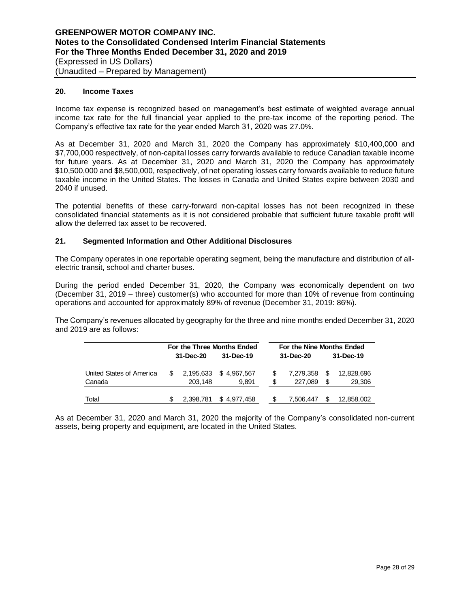#### **20. Income Taxes**

Income tax expense is recognized based on management's best estimate of weighted average annual income tax rate for the full financial year applied to the pre-tax income of the reporting period. The Company's effective tax rate for the year ended March 31, 2020 was 27.0%.

As at December 31, 2020 and March 31, 2020 the Company has approximately \$10,400,000 and \$7,700,000 respectively, of non-capital losses carry forwards available to reduce Canadian taxable income for future years. As at December 31, 2020 and March 31, 2020 the Company has approximately \$10,500,000 and \$8,500,000, respectively, of net operating losses carry forwards available to reduce future taxable income in the United States. The losses in Canada and United States expire between 2030 and 2040 if unused.

The potential benefits of these carry-forward non-capital losses has not been recognized in these consolidated financial statements as it is not considered probable that sufficient future taxable profit will allow the deferred tax asset to be recovered.

#### **21. Segmented Information and Other Additional Disclosures**

The Company operates in one reportable operating segment, being the manufacture and distribution of allelectric transit, school and charter buses.

During the period ended December 31, 2020, the Company was economically dependent on two (December 31, 2019 – three) customer(s) who accounted for more than 10% of revenue from continuing operations and accounted for approximately 89% of revenue (December 31, 2019: 86%).

The Company's revenues allocated by geography for the three and nine months ended December 31, 2020 and 2019 are as follows:

|                          |     | For the Three Months Ended |             |    | For the Nine Months Ended |      |            |
|--------------------------|-----|----------------------------|-------------|----|---------------------------|------|------------|
|                          |     | 31-Dec-20                  | 31-Dec-19   |    | 31-Dec-20                 |      | 31-Dec-19  |
| United States of America | \$. | 2.195.633                  | \$4.967.567 | S  | 7.279.358                 | S    | 12,828,696 |
| Canada                   |     | 203.148                    | 9.891       | \$ | 227,089                   | - \$ | 29,306     |
| Total                    |     | 2,398,781                  | \$4.977.458 |    | 7.506.447                 |      | 12,858,002 |

As at December 31, 2020 and March 31, 2020 the majority of the Company's consolidated non-current assets, being property and equipment, are located in the United States.